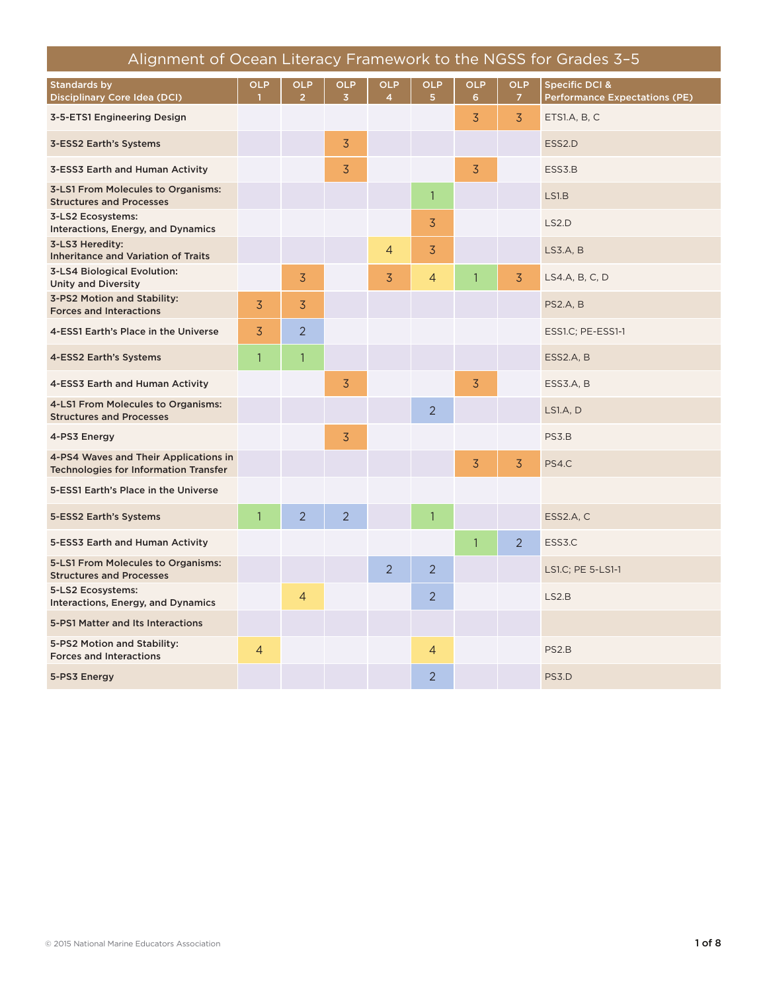| Alignment of Ocean Literacy Framework to the NGSS for Grades 3-5                      |                |                              |                              |                              |                              |                 |                              |                                                        |
|---------------------------------------------------------------------------------------|----------------|------------------------------|------------------------------|------------------------------|------------------------------|-----------------|------------------------------|--------------------------------------------------------|
| <b>Standards by</b><br>Disciplinary Core Idea (DCI)                                   | <b>OLP</b>     | <b>OLP</b><br>$\overline{2}$ | <b>OLP</b><br>$\overline{3}$ | <b>OLP</b><br>$\overline{4}$ | <b>OLP</b><br>5 <sup>1</sup> | <b>OLP</b><br>6 | <b>OLP</b><br>$\overline{7}$ | Specific DCI &<br><b>Performance Expectations (PE)</b> |
| 3-5-ETS1 Engineering Design                                                           |                |                              |                              |                              |                              | $\overline{3}$  | $\overline{3}$               | ETS1.A, B, C                                           |
| 3-ESS2 Earth's Systems                                                                |                |                              | 3                            |                              |                              |                 |                              | ESS <sub>2</sub> .D                                    |
| 3-ESS3 Earth and Human Activity                                                       |                |                              | $\overline{3}$               |                              |                              | $\overline{3}$  |                              | ESS3.B                                                 |
| 3-LS1 From Molecules to Organisms:<br><b>Structures and Processes</b>                 |                |                              |                              |                              | $\mathbf{1}$                 |                 |                              | LS1.B                                                  |
| 3-LS2 Ecosystems:<br>Interactions, Energy, and Dynamics                               |                |                              |                              |                              | 3                            |                 |                              | LS2.D                                                  |
| 3-LS3 Heredity:<br><b>Inheritance and Variation of Traits</b>                         |                |                              |                              | 4                            | 3                            |                 |                              | LS3.A, B                                               |
| <b>3-LS4 Biological Evolution:</b><br><b>Unity and Diversity</b>                      |                | 3                            |                              | 3                            | $\overline{4}$               | $\mathbf{1}$    | $\overline{3}$               | LS4.A, B, C, D                                         |
| 3-PS2 Motion and Stability:<br><b>Forces and Interactions</b>                         | $\overline{3}$ | 3                            |                              |                              |                              |                 |                              | <b>PS2.A, B</b>                                        |
| 4-ESS1 Earth's Place in the Universe                                                  | $\overline{3}$ | $\overline{2}$               |                              |                              |                              |                 |                              | ESS1.C; PE-ESS1-1                                      |
| 4-ESS2 Earth's Systems                                                                | $\mathbf{1}$   | $\mathbf{1}$                 |                              |                              |                              |                 |                              | ESS2.A, B                                              |
| 4-ESS3 Earth and Human Activity                                                       |                |                              | 3                            |                              |                              | $\overline{3}$  |                              | ESS3.A, B                                              |
| 4-LS1 From Molecules to Organisms:<br><b>Structures and Processes</b>                 |                |                              |                              |                              | $\overline{2}$               |                 |                              | <b>LS1.A, D</b>                                        |
| 4-PS3 Energy                                                                          |                |                              | 3                            |                              |                              |                 |                              | PS3.B                                                  |
| 4-PS4 Waves and Their Applications in<br><b>Technologies for Information Transfer</b> |                |                              |                              |                              |                              | 3               | $\overline{3}$               | PS4.C                                                  |
| 5-ESS1 Earth's Place in the Universe                                                  |                |                              |                              |                              |                              |                 |                              |                                                        |
| 5-ESS2 Earth's Systems                                                                | $\mathbf{1}$   | $\overline{2}$               | $\overline{2}$               |                              | $\overline{1}$               |                 |                              | ESS2.A, C                                              |
| 5-ESS3 Earth and Human Activity                                                       |                |                              |                              |                              |                              | $\mathbf{1}$    | $\overline{2}$               | ESS3.C                                                 |
| 5-LS1 From Molecules to Organisms:<br><b>Structures and Processes</b>                 |                |                              |                              | $\overline{2}$               | $\overline{2}$               |                 |                              | LS1.C; PE 5-LS1-1                                      |
| 5-LS2 Ecosystems:<br>Interactions, Energy, and Dynamics                               |                | $\overline{4}$               |                              |                              | $\overline{2}$               |                 |                              | LS2.B                                                  |
| 5-PS1 Matter and Its Interactions                                                     |                |                              |                              |                              |                              |                 |                              |                                                        |
| 5-PS2 Motion and Stability:<br><b>Forces and Interactions</b>                         | $\overline{4}$ |                              |                              |                              | $\overline{4}$               |                 |                              | PS <sub>2</sub> .B                                     |
| 5-PS3 Energy                                                                          |                |                              |                              |                              | $\overline{2}$               |                 |                              | PS3.D                                                  |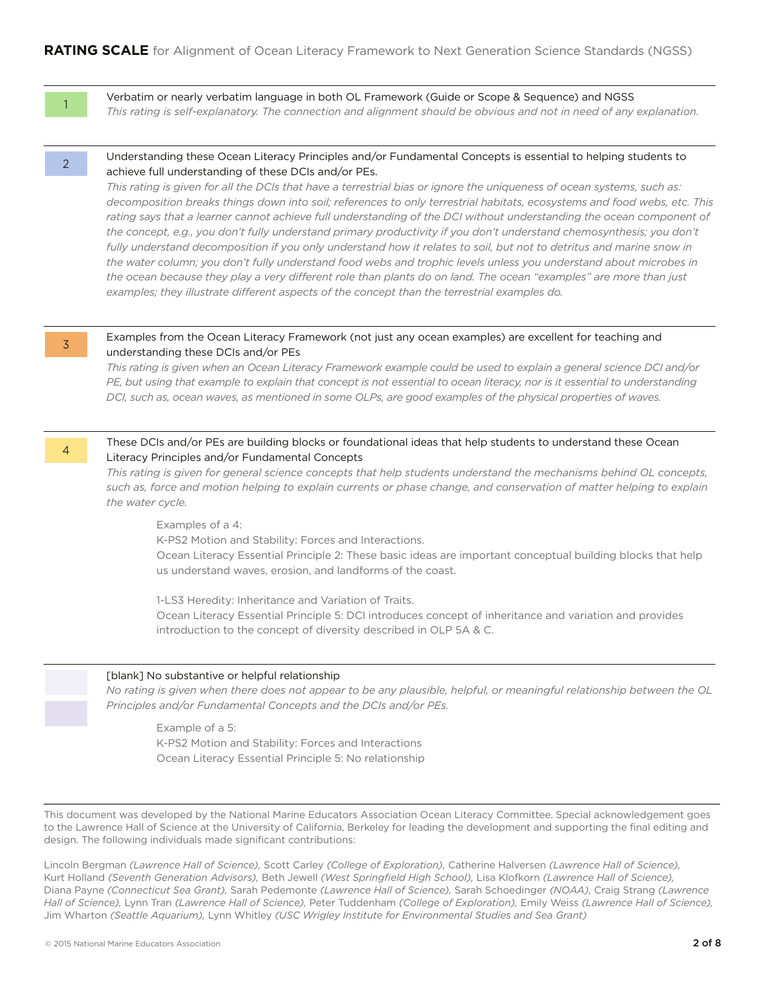1

Verbatim or nearly verbatim language in both OL Framework (Guide or Scope & Sequence) and NGSS *This rating is self-explanatory. The connection and alignment should be obvious and not in need of any explanation.*

2

#### Understanding these Ocean Literacy Principles and/or Fundamental Concepts is essential to helping students to achieve full understanding of these DCIs and/or PEs.

*This rating is given for all the DCIs that have a terrestrial bias or ignore the uniqueness of ocean systems, such as: decomposition breaks things down into soil; references to only terrestrial habitats, ecosystems and food webs, etc. This*  rating says that a learner cannot achieve full understanding of the DCI without understanding the ocean component of the concept, e.g., you don't fully understand primary productivity if you don't understand chemosynthesis; you don't fully understand decomposition if you only understand how it relates to soil, but not to detritus and marine snow in *the water column; you don't fully understand food webs and trophic levels unless you understand about microbes in the ocean because they play a very different role than plants do on land. The ocean "examples" are more than just examples; they illustrate different aspects of the concept than the terrestrial examples do.*

3

4

#### Examples from the Ocean Literacy Framework (not just any ocean examples) are excellent for teaching and understanding these DCIs and/or PEs

*This rating is given when an Ocean Literacy Framework example could be used to explain a general science DCI and/or PE, but using that example to explain that concept is not essential to ocean literacy, nor is it essential to understanding DCI, such as, ocean waves, as mentioned in some OLPs, are good examples of the physical properties of waves.*

#### These DCIs and/or PEs are building blocks or foundational ideas that help students to understand these Ocean Literacy Principles and/or Fundamental Concepts

*This rating is given for general science concepts that help students understand the mechanisms behind OL concepts, such as, force and motion helping to explain currents or phase change, and conservation of matter helping to explain the water cycle.*

Examples of a 4:

K-PS2 Motion and Stability: Forces and Interactions.

Ocean Literacy Essential Principle 2: These basic ideas are important conceptual building blocks that help us understand waves, erosion, and landforms of the coast.

1-LS3 Heredity: Inheritance and Variation of Traits.

Ocean Literacy Essential Principle 5: DCI introduces concept of inheritance and variation and provides introduction to the concept of diversity described in OLP 5A & C.

#### [blank] No substantive or helpful relationship

*No rating is given when there does not appear to be any plausible, helpful, or meaningful relationship between the OL Principles and/or Fundamental Concepts and the DCIs and/or PEs.*

Example of a 5: K-PS2 Motion and Stability: Forces and Interactions Ocean Literacy Essential Principle 5: No relationship

This document was developed by the National Marine Educators Association Ocean Literacy Committee. Special acknowledgement goes to the Lawrence Hall of Science at the University of California, Berkeley for leading the development and supporting the final editing and design. The following individuals made significant contributions:

Lincoln Bergman *(Lawrence Hall of Science),* Scott Carley *(College of Exploration),* Catherine Halversen *(Lawrence Hall of Science),* Kurt Holland *(Seventh Generation Advisors),* Beth Jewell *(West Springfield High School),* Lisa Klofkorn *(Lawrence Hall of Science),* Diana Payne *(Connecticut Sea Grant),* Sarah Pedemonte *(Lawrence Hall of Science),* Sarah Schoedinger *(NOAA),* Craig Strang *(Lawrence Hall of Science),* Lynn Tran *(Lawrence Hall of Science),* Peter Tuddenham *(College of Exploration),* Emily Weiss *(Lawrence Hall of Science),* Jim Wharton *(Seattle Aquarium),* Lynn Whitley *(USC Wrigley Institute for Environmental Studies and Sea Grant)*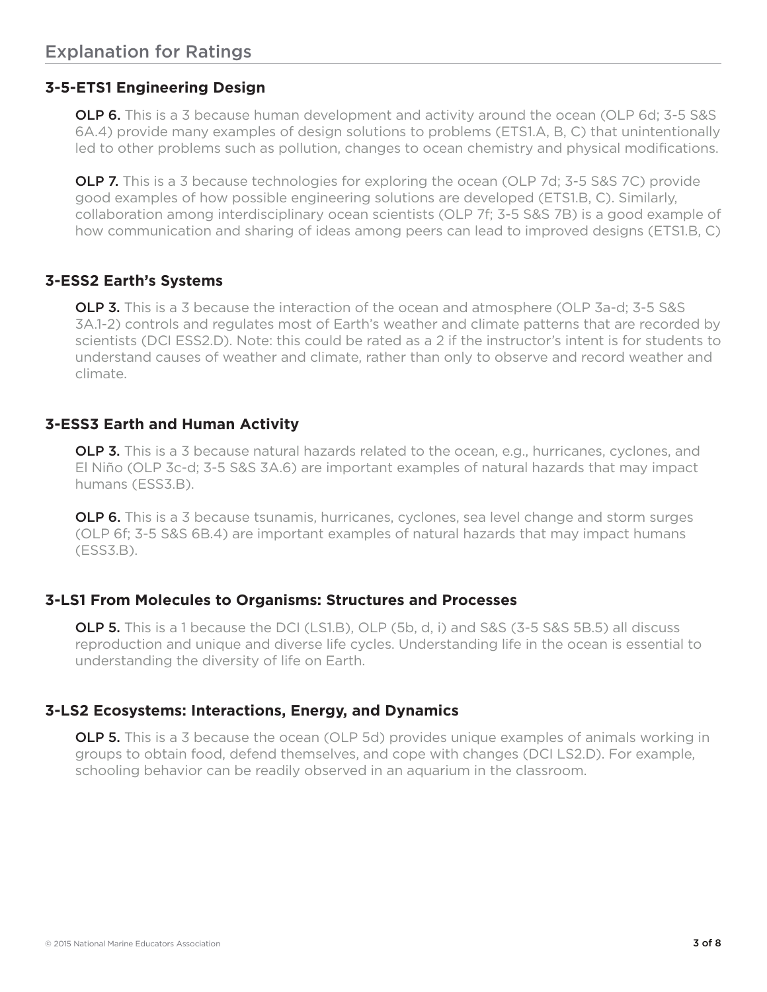## **3-5-ETS1 Engineering Design**

**OLP 6.** This is a 3 because human development and activity around the ocean (OLP 6d; 3-5 S&S) 6A.4) provide many examples of design solutions to problems (ETS1.A, B, C) that unintentionally led to other problems such as pollution, changes to ocean chemistry and physical modifications.

**OLP 7.** This is a 3 because technologies for exploring the ocean (OLP 7d; 3-5 S&S 7C) provide good examples of how possible engineering solutions are developed (ETS1.B, C). Similarly, collaboration among interdisciplinary ocean scientists (OLP 7f; 3-5 S&S 7B) is a good example of how communication and sharing of ideas among peers can lead to improved designs (ETS1.B, C)

## **3-ESS2 Earth's Systems**

**OLP 3.** This is a 3 because the interaction of the ocean and atmosphere (OLP 3a-d; 3-5 S&S 3A.1-2) controls and regulates most of Earth's weather and climate patterns that are recorded by scientists (DCI ESS2.D). Note: this could be rated as a 2 if the instructor's intent is for students to understand causes of weather and climate, rather than only to observe and record weather and climate.

### **3-ESS3 Earth and Human Activity**

**OLP 3.** This is a 3 because natural hazards related to the ocean, e.g., hurricanes, cyclones, and El Niño (OLP 3c-d; 3-5 S&S 3A.6) are important examples of natural hazards that may impact humans (ESS3.B).

OLP 6. This is a 3 because tsunamis, hurricanes, cyclones, sea level change and storm surges (OLP 6f; 3-5 S&S 6B.4) are important examples of natural hazards that may impact humans (ESS3.B).

### **3-LS1 From Molecules to Organisms: Structures and Processes**

**OLP 5.** This is a 1 because the DCI (LS1.B), OLP (5b, d, i) and S&S (3-5 S&S 5B.5) all discuss reproduction and unique and diverse life cycles. Understanding life in the ocean is essential to understanding the diversity of life on Earth.

# **3-LS2 Ecosystems: Interactions, Energy, and Dynamics**

**OLP 5.** This is a 3 because the ocean (OLP 5d) provides unique examples of animals working in groups to obtain food, defend themselves, and cope with changes (DCI LS2.D). For example, schooling behavior can be readily observed in an aquarium in the classroom.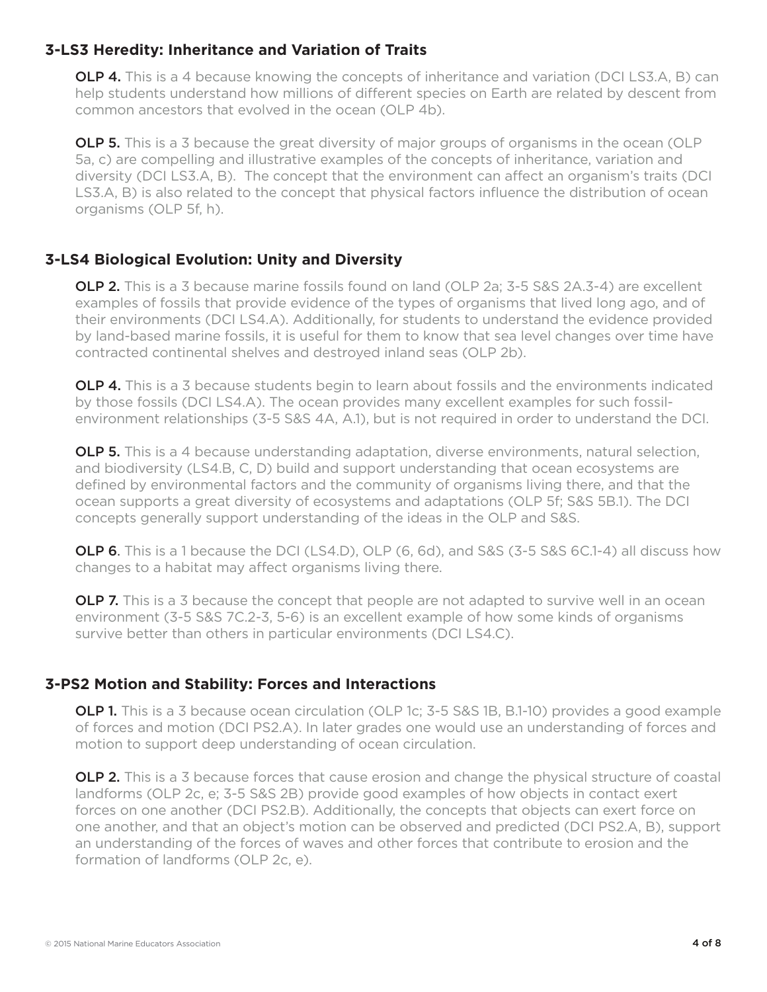## **3-LS3 Heredity: Inheritance and Variation of Traits**

**OLP 4.** This is a 4 because knowing the concepts of inheritance and variation (DCI LS3.A, B) can help students understand how millions of different species on Earth are related by descent from common ancestors that evolved in the ocean (OLP 4b).

**OLP 5.** This is a 3 because the great diversity of major groups of organisms in the ocean (OLP 5a, c) are compelling and illustrative examples of the concepts of inheritance, variation and diversity (DCI LS3.A, B). The concept that the environment can affect an organism's traits (DCI LS3.A, B) is also related to the concept that physical factors influence the distribution of ocean organisms (OLP 5f, h).

# **3-LS4 Biological Evolution: Unity and Diversity**

**OLP 2.** This is a 3 because marine fossils found on land (OLP 2a; 3-5 S&S 2A.3-4) are excellent examples of fossils that provide evidence of the types of organisms that lived long ago, and of their environments (DCI LS4.A). Additionally, for students to understand the evidence provided by land-based marine fossils, it is useful for them to know that sea level changes over time have contracted continental shelves and destroyed inland seas (OLP 2b).

**OLP 4.** This is a 3 because students begin to learn about fossils and the environments indicated by those fossils (DCI LS4.A). The ocean provides many excellent examples for such fossilenvironment relationships (3-5 S&S 4A, A.1), but is not required in order to understand the DCI.

OLP 5. This is a 4 because understanding adaptation, diverse environments, natural selection, and biodiversity (LS4.B, C, D) build and support understanding that ocean ecosystems are defined by environmental factors and the community of organisms living there, and that the ocean supports a great diversity of ecosystems and adaptations (OLP 5f; S&S 5B.1). The DCI concepts generally support understanding of the ideas in the OLP and S&S.

OLP 6. This is a 1 because the DCI (LS4.D), OLP (6, 6d), and S&S (3-5 S&S 6C.1-4) all discuss how changes to a habitat may affect organisms living there.

**OLP 7.** This is a 3 because the concept that people are not adapted to survive well in an ocean environment (3-5 S&S 7C.2-3, 5-6) is an excellent example of how some kinds of organisms survive better than others in particular environments (DCI LS4.C).

# **3-PS2 Motion and Stability: Forces and Interactions**

**OLP 1.** This is a 3 because ocean circulation (OLP 1c; 3-5 S&S 1B, B.1-10) provides a good example of forces and motion (DCI PS2.A). In later grades one would use an understanding of forces and motion to support deep understanding of ocean circulation.

**OLP 2.** This is a 3 because forces that cause erosion and change the physical structure of coastal landforms (OLP 2c, e; 3-5 S&S 2B) provide good examples of how objects in contact exert forces on one another (DCI PS2.B). Additionally, the concepts that objects can exert force on one another, and that an object's motion can be observed and predicted (DCI PS2.A, B), support an understanding of the forces of waves and other forces that contribute to erosion and the formation of landforms (OLP 2c, e).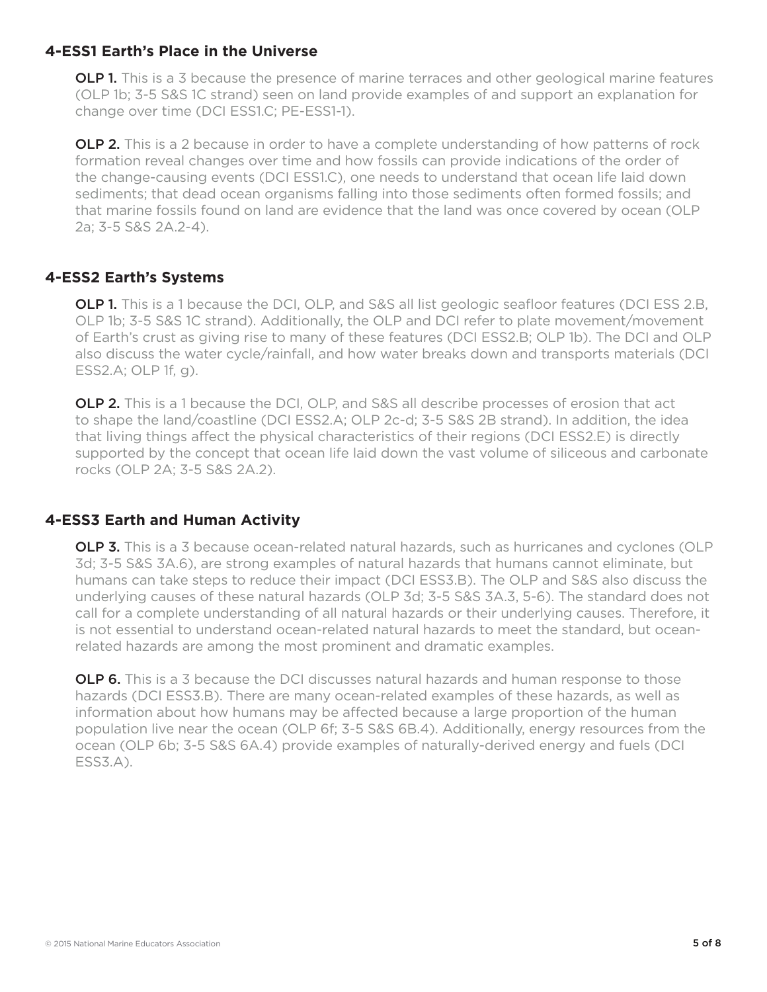### **4-ESS1 Earth's Place in the Universe**

**OLP 1.** This is a 3 because the presence of marine terraces and other geological marine features (OLP 1b; 3-5 S&S 1C strand) seen on land provide examples of and support an explanation for change over time (DCI ESS1.C; PE-ESS1-1).

**OLP 2.** This is a 2 because in order to have a complete understanding of how patterns of rock formation reveal changes over time and how fossils can provide indications of the order of the change-causing events (DCI ESS1.C), one needs to understand that ocean life laid down sediments; that dead ocean organisms falling into those sediments often formed fossils; and that marine fossils found on land are evidence that the land was once covered by ocean (OLP 2a; 3-5 S&S 2A.2-4).

### **4-ESS2 Earth's Systems**

**OLP 1.** This is a 1 because the DCI, OLP, and S&S all list geologic seafloor features (DCI ESS 2.B, OLP 1b; 3-5 S&S 1C strand). Additionally, the OLP and DCI refer to plate movement/movement of Earth's crust as giving rise to many of these features (DCI ESS2.B; OLP 1b). The DCI and OLP also discuss the water cycle/rainfall, and how water breaks down and transports materials (DCI ESS2.A; OLP 1f, g).

**OLP 2.** This is a 1 because the DCI, OLP, and S&S all describe processes of erosion that act to shape the land/coastline (DCI ESS2.A; OLP 2c-d; 3-5 S&S 2B strand). In addition, the idea that living things affect the physical characteristics of their regions (DCI ESS2.E) is directly supported by the concept that ocean life laid down the vast volume of siliceous and carbonate rocks (OLP 2A; 3-5 S&S 2A.2).

### **4-ESS3 Earth and Human Activity**

**OLP 3.** This is a 3 because ocean-related natural hazards, such as hurricanes and cyclones (OLP 3d; 3-5 S&S 3A.6), are strong examples of natural hazards that humans cannot eliminate, but humans can take steps to reduce their impact (DCI ESS3.B). The OLP and S&S also discuss the underlying causes of these natural hazards (OLP 3d; 3-5 S&S 3A.3, 5-6). The standard does not call for a complete understanding of all natural hazards or their underlying causes. Therefore, it is not essential to understand ocean-related natural hazards to meet the standard, but oceanrelated hazards are among the most prominent and dramatic examples.

**OLP 6.** This is a 3 because the DCI discusses natural hazards and human response to those hazards (DCI ESS3.B). There are many ocean-related examples of these hazards, as well as information about how humans may be affected because a large proportion of the human population live near the ocean (OLP 6f; 3-5 S&S 6B.4). Additionally, energy resources from the ocean (OLP 6b; 3-5 S&S 6A.4) provide examples of naturally-derived energy and fuels (DCI ESS3.A).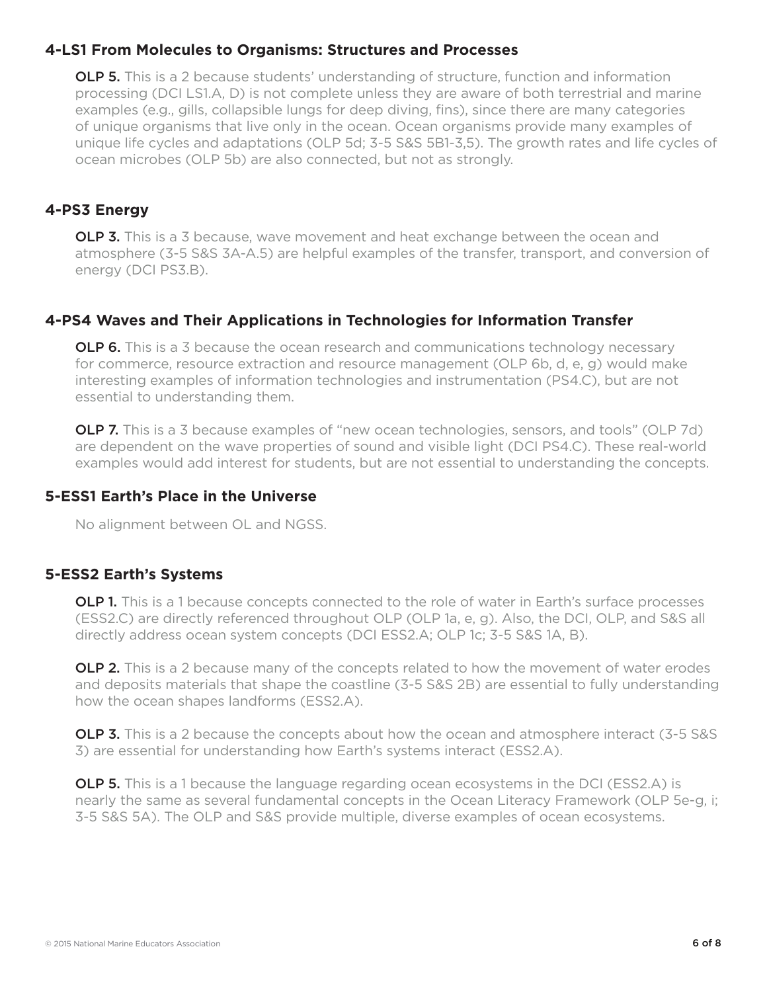### **4-LS1 From Molecules to Organisms: Structures and Processes**

**OLP 5.** This is a 2 because students' understanding of structure, function and information processing (DCI LS1.A, D) is not complete unless they are aware of both terrestrial and marine examples (e.g., gills, collapsible lungs for deep diving, fins), since there are many categories of unique organisms that live only in the ocean. Ocean organisms provide many examples of unique life cycles and adaptations (OLP 5d; 3-5 S&S 5B1-3,5). The growth rates and life cycles of ocean microbes (OLP 5b) are also connected, but not as strongly.

# **4-PS3 Energy**

**OLP 3.** This is a 3 because, wave movement and heat exchange between the ocean and atmosphere (3-5 S&S 3A-A.5) are helpful examples of the transfer, transport, and conversion of energy (DCI PS3.B).

# **4-PS4 Waves and Their Applications in Technologies for Information Transfer**

**OLP 6.** This is a 3 because the ocean research and communications technology necessary for commerce, resource extraction and resource management (OLP 6b, d, e, g) would make interesting examples of information technologies and instrumentation (PS4.C), but are not essential to understanding them.

**OLP 7.** This is a 3 because examples of "new ocean technologies, sensors, and tools" (OLP 7d) are dependent on the wave properties of sound and visible light (DCI PS4.C). These real-world examples would add interest for students, but are not essential to understanding the concepts.

## **5-ESS1 Earth's Place in the Universe**

No alignment between OL and NGSS.

### **5-ESS2 Earth's Systems**

**OLP 1.** This is a 1 because concepts connected to the role of water in Earth's surface processes (ESS2.C) are directly referenced throughout OLP (OLP 1a, e, g). Also, the DCI, OLP, and S&S all directly address ocean system concepts (DCI ESS2.A; OLP 1c; 3-5 S&S 1A, B).

**OLP 2.** This is a 2 because many of the concepts related to how the movement of water erodes and deposits materials that shape the coastline (3-5 S&S 2B) are essential to fully understanding how the ocean shapes landforms (ESS2.A).

**OLP 3.** This is a 2 because the concepts about how the ocean and atmosphere interact (3-5 S&S) 3) are essential for understanding how Earth's systems interact (ESS2.A).

**OLP 5.** This is a 1 because the language regarding ocean ecosystems in the DCI (ESS2.A) is nearly the same as several fundamental concepts in the Ocean Literacy Framework (OLP 5e-g, i; 3-5 S&S 5A). The OLP and S&S provide multiple, diverse examples of ocean ecosystems.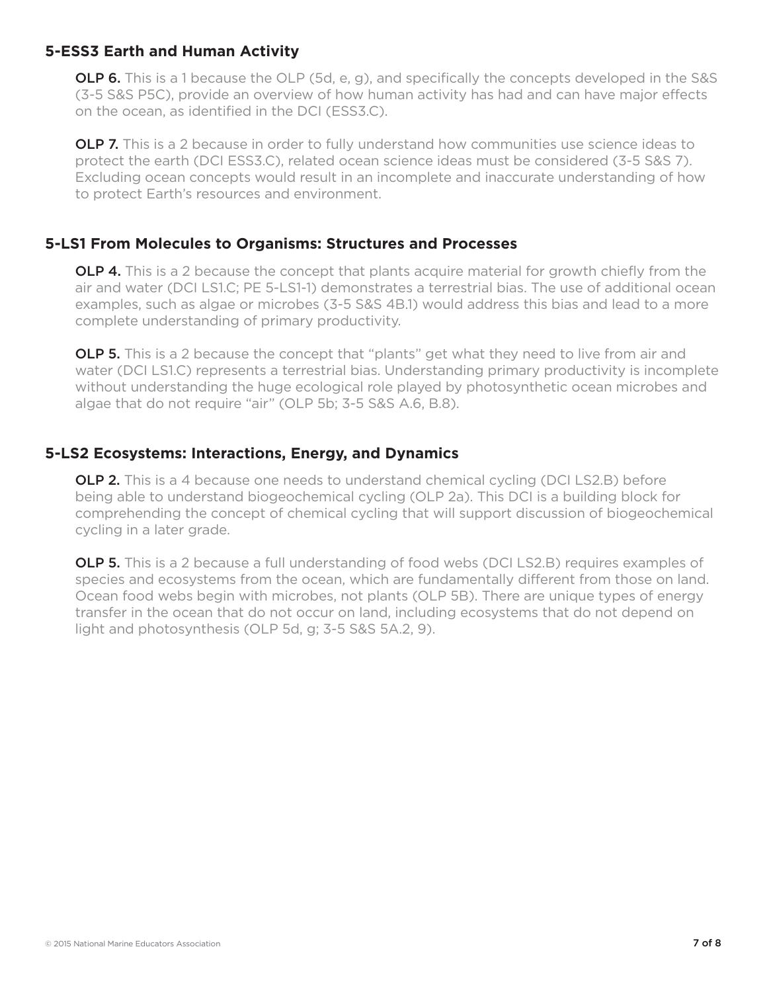#### **5-ESS3 Earth and Human Activity**

**OLP 6.** This is a 1 because the OLP (5d, e, g), and specifically the concepts developed in the S&S (3-5 S&S P5C), provide an overview of how human activity has had and can have major effects on the ocean, as identified in the DCI (ESS3.C).

**OLP 7.** This is a 2 because in order to fully understand how communities use science ideas to protect the earth (DCI ESS3.C), related ocean science ideas must be considered (3-5 S&S 7). Excluding ocean concepts would result in an incomplete and inaccurate understanding of how to protect Earth's resources and environment.

### **5-LS1 From Molecules to Organisms: Structures and Processes**

**OLP 4.** This is a 2 because the concept that plants acquire material for growth chiefly from the air and water (DCI LS1.C; PE 5-LS1-1) demonstrates a terrestrial bias. The use of additional ocean examples, such as algae or microbes (3-5 S&S 4B.1) would address this bias and lead to a more complete understanding of primary productivity.

**OLP 5.** This is a 2 because the concept that "plants" get what they need to live from air and water (DCI LS1.C) represents a terrestrial bias. Understanding primary productivity is incomplete without understanding the huge ecological role played by photosynthetic ocean microbes and algae that do not require "air" (OLP 5b; 3-5 S&S A.6, B.8).

### **5-LS2 Ecosystems: Interactions, Energy, and Dynamics**

**OLP 2.** This is a 4 because one needs to understand chemical cycling (DCI LS2.B) before being able to understand biogeochemical cycling (OLP 2a). This DCI is a building block for comprehending the concept of chemical cycling that will support discussion of biogeochemical cycling in a later grade.

**OLP 5.** This is a 2 because a full understanding of food webs (DCI LS2.B) requires examples of species and ecosystems from the ocean, which are fundamentally different from those on land. Ocean food webs begin with microbes, not plants (OLP 5B). There are unique types of energy transfer in the ocean that do not occur on land, including ecosystems that do not depend on light and photosynthesis (OLP 5d, g; 3-5 S&S 5A.2, 9).